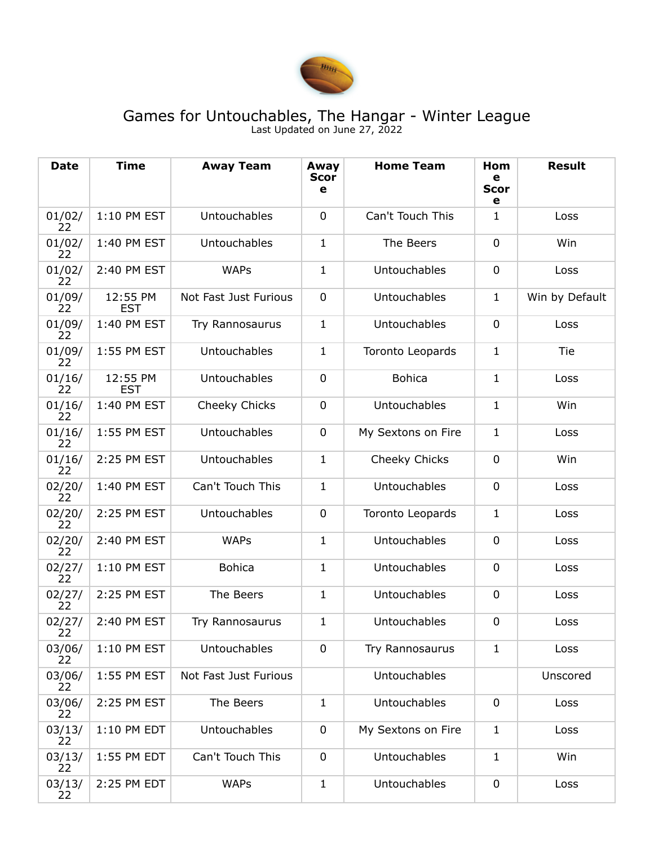

## Games for Untouchables, The Hangar - Winter League Last Updated on June 27, 2022

| <b>Date</b>  | <b>Time</b>            | <b>Away Team</b>      | Away<br><b>Scor</b><br>е | <b>Home Team</b>        | Hom<br>е<br><b>Scor</b><br>e | <b>Result</b>  |
|--------------|------------------------|-----------------------|--------------------------|-------------------------|------------------------------|----------------|
| 01/02/<br>22 | 1:10 PM EST            | Untouchables          | 0                        | Can't Touch This        | 1                            | Loss           |
| 01/02/<br>22 | 1:40 PM EST            | Untouchables          | 1                        | The Beers               | $\overline{0}$               | Win            |
| 01/02/<br>22 | 2:40 PM EST            | <b>WAPs</b>           | $\mathbf{1}$             | Untouchables            | $\overline{0}$               | Loss           |
| 01/09/<br>22 | 12:55 PM<br><b>EST</b> | Not Fast Just Furious | $\mathbf 0$              | Untouchables            | $\mathbf{1}$                 | Win by Default |
| 01/09/<br>22 | 1:40 PM EST            | Try Rannosaurus       | 1                        | Untouchables            | $\mathbf 0$                  | Loss           |
| 01/09/<br>22 | 1:55 PM EST            | Untouchables          | 1                        | Toronto Leopards        | $\mathbf{1}$                 | Tie            |
| 01/16/<br>22 | 12:55 PM<br><b>EST</b> | Untouchables          | $\mathbf 0$              | <b>Bohica</b>           | $\mathbf{1}$                 | Loss           |
| 01/16/<br>22 | 1:40 PM EST            | Cheeky Chicks         | $\mathbf 0$              | Untouchables            | 1                            | Win            |
| 01/16/<br>22 | 1:55 PM EST            | Untouchables          | $\mathbf 0$              | My Sextons on Fire      | 1                            | Loss           |
| 01/16/<br>22 | 2:25 PM EST            | Untouchables          | 1                        | Cheeky Chicks           | $\overline{0}$               | Win            |
| 02/20/<br>22 | 1:40 PM EST            | Can't Touch This      | $\mathbf{1}$             | Untouchables            | $\overline{0}$               | Loss           |
| 02/20/<br>22 | 2:25 PM EST            | Untouchables          | $\mathbf 0$              | <b>Toronto Leopards</b> | $\mathbf{1}$                 | Loss           |
| 02/20/<br>22 | 2:40 PM EST            | <b>WAPs</b>           | $\mathbf{1}$             | Untouchables            | $\mathbf 0$                  | Loss           |
| 02/27/<br>22 | 1:10 PM EST            | <b>Bohica</b>         | 1                        | Untouchables            | $\mathbf 0$                  | Loss           |
| 02/27/<br>22 | 2:25 PM EST            | The Beers             | 1                        | Untouchables            | $\mathbf 0$                  | Loss           |
| 02/27/<br>22 | 2:40 PM EST            | Try Rannosaurus       | 1                        | Untouchables            | $\mathbf 0$                  | Loss           |
| 03/06/<br>22 | 1:10 PM EST            | <b>Untouchables</b>   | $\mathbf 0$              | Try Rannosaurus         | 1                            | Loss           |
| 03/06/<br>22 | 1:55 PM EST            | Not Fast Just Furious |                          | Untouchables            |                              | Unscored       |
| 03/06/<br>22 | 2:25 PM EST            | The Beers             | $\mathbf{1}$             | Untouchables            | 0                            | Loss           |
| 03/13/<br>22 | 1:10 PM EDT            | Untouchables          | $\mathbf 0$              | My Sextons on Fire      | $\mathbf{1}$                 | Loss           |
| 03/13/<br>22 | 1:55 PM EDT            | Can't Touch This      | $\mathbf 0$              | Untouchables            | $\mathbf{1}$                 | Win            |
| 03/13/<br>22 | 2:25 PM EDT            | <b>WAPs</b>           | $\mathbf{1}$             | Untouchables            | $\pmb{0}$                    | Loss           |